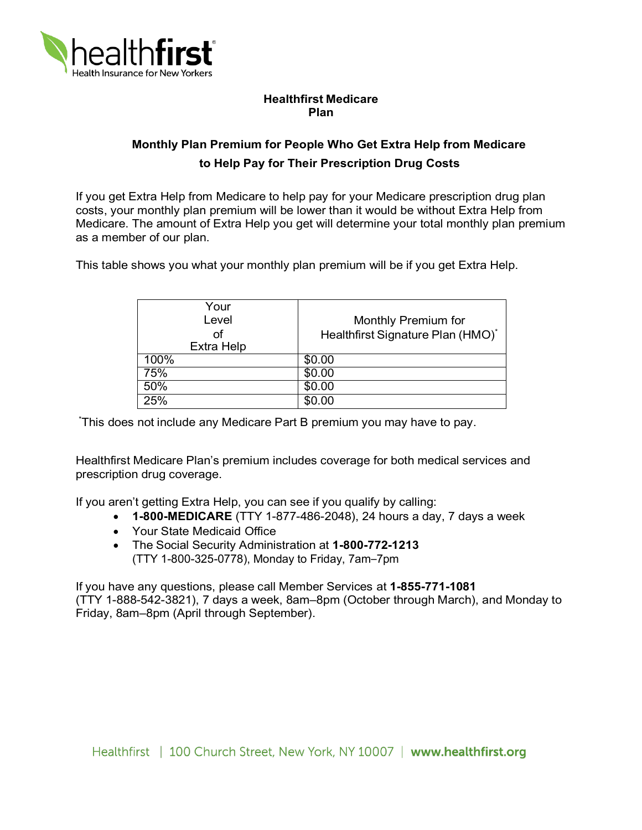

## **Healthfirst Medicare Plan**

## **Monthly Plan Premium for People Who Get Extra Help from Medicare to Help Pay for Their Prescription Drug Costs**

 If you get Extra Help from Medicare to help pay for your Medicare prescription drug plan costs, your monthly plan premium will be lower than it would be without Extra Help from Medicare. The amount of Extra Help you get will determine your total monthly plan premium as a member of our plan.

This table shows you what your monthly plan premium will be if you get Extra Help.

| Your<br>Level<br>оf<br><b>Extra Help</b> | Monthly Premium for<br>Healthfirst Signature Plan (HMO)* |
|------------------------------------------|----------------------------------------------------------|
| 100%                                     | \$0.00                                                   |
| 75%                                      | \$0.00                                                   |
| 50%                                      | \$0.00                                                   |
| 25%                                      | \$0.00                                                   |

\* This does not include any Medicare Part B premium you may have to pay.

Healthfirst Medicare Plan's premium includes coverage for both medical services and prescription drug coverage.

If you aren't getting Extra Help, you can see if you qualify by calling:

- **1-800-MEDICARE** (TTY 1-877-486-2048), 24 hours a day, 7 days a week
- Your State Medicaid Office
- The Social Security Administration at **1-800-772-1213**  (TTY 1-800-325-0778), Monday to Friday, 7am–7pm

If you have any questions, please call Member Services at **1-855-771-1081**  (TTY 1-888-542-3821), 7 days a week, 8am–8pm (October through March), and Monday to Friday, 8am–8pm (April through September).